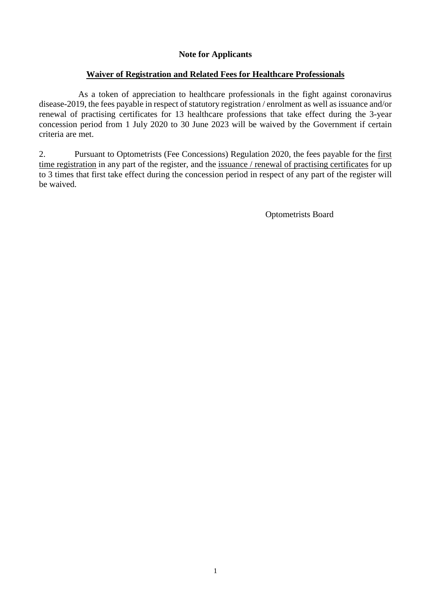## **Note for Applicants**

## **Waiver of Registration and Related Fees for Healthcare Professionals**

As a token of appreciation to healthcare professionals in the fight against coronavirus disease-2019, the fees payable in respect of statutory registration / enrolment as well as issuance and/or renewal of practising certificates for 13 healthcare professions that take effect during the 3-year concession period from 1 July 2020 to 30 June 2023 will be waived by the Government if certain criteria are met.

2. Pursuant to Optometrists (Fee Concessions) Regulation 2020, the fees payable for the first time registration in any part of the register, and the issuance / renewal of practising certificates for up to 3 times that first take effect during the concession period in respect of any part of the register will be waived.

Optometrists Board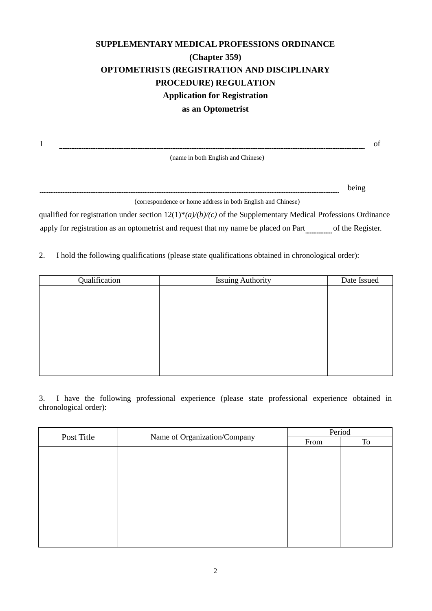# **SUPPLEMENTARY MEDICAL PROFESSIONS ORDINANCE (Chapter 359) OPTOMETRISTS (REGISTRATION AND DISCIPLINARY PROCEDURE) REGULATION Application for Registration as an Optometrist**

I of

(name in both English and Chinese)

being

(correspondence or home address in both English and Chinese)

qualified for registration under section 12(1)\**(a)/(b)/(c)* of the Supplementary Medical Professions Ordinance apply for registration as an optometrist and request that my name be placed on Part of the Register.

2. I hold the following qualifications (please state qualifications obtained in chronological order):

| Qualification | <b>Issuing Authority</b> | Date Issued |
|---------------|--------------------------|-------------|
|               |                          |             |
|               |                          |             |
|               |                          |             |
|               |                          |             |
|               |                          |             |
|               |                          |             |
|               |                          |             |
|               |                          |             |
|               |                          |             |

3. I have the following professional experience (please state professional experience obtained in chronological order):

| Post Title<br>Name of Organization/Company |      | Period |  |
|--------------------------------------------|------|--------|--|
|                                            | From | To     |  |
|                                            |      |        |  |
|                                            |      |        |  |
|                                            |      |        |  |
|                                            |      |        |  |
|                                            |      |        |  |
|                                            |      |        |  |
|                                            |      |        |  |
|                                            |      |        |  |
|                                            |      |        |  |
|                                            |      |        |  |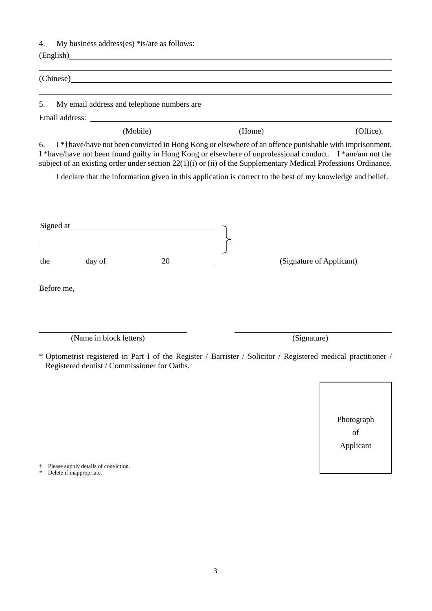4. My business address(es) \*is/are as follows:

| (Office).<br>(Home) |
|---------------------|
|                     |

6. I \*†have/have not been convicted in Hong Kong or elsewhere of an offence punishable with imprisonment. I \*have/have not been found guilty in Hong Kong or elsewhere of unprofessional conduct. I \*am/am not the subject of an existing order under section 22(1)(i) or (ii) of the Supplementary Medical Professions Ordinance.

I declare that the information given in this application is correct to the best of my knowledge and belief.

| Signed at                                    |                                                                                                                |
|----------------------------------------------|----------------------------------------------------------------------------------------------------------------|
| day of<br>20<br>the                          | (Signature of Applicant)                                                                                       |
| Before me,                                   |                                                                                                                |
| (Name in block letters)                      | (Signature)                                                                                                    |
| Registered dentist / Commissioner for Oaths. | * Optometrist registered in Part I of the Register / Barrister / Solicitor / Registered medical practitioner / |

Photograph of Applicant

† Please supply details of conviction.

Delete if inappropriate.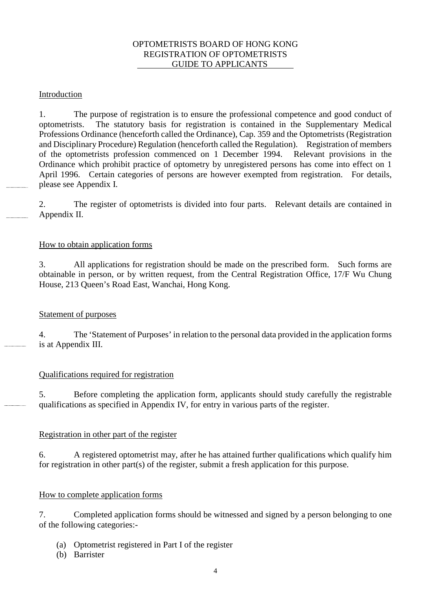#### OPTOMETRISTS BOARD OF HONG KONG REGISTRATION OF OPTOMETRISTS GUIDE TO APPLICANTS

## Introduction

1. The purpose of registration is to ensure the professional competence and good conduct of optometrists. The statutory basis for registration is contained in the Supplementary Medical Professions Ordinance (henceforth called the Ordinance), Cap. 359 and the Optometrists (Registration and Disciplinary Procedure) Regulation (henceforth called the Regulation). Registration of members of the optometrists profession commenced on 1 December 1994. Relevant provisions in the Ordinance which prohibit practice of optometry by unregistered persons has come into effect on 1 April 1996. Certain categories of persons are however exempted from registration. For details, please see Appendix I.

2. The register of optometrists is divided into four parts. Relevant details are contained in Appendix II.

## How to obtain application forms

3. All applications for registration should be made on the prescribed form. Such forms are obtainable in person, or by written request, from the Central Registration Office, 17/F Wu Chung House, 213 Queen's Road East, Wanchai, Hong Kong.

## Statement of purposes

4. The 'Statement of Purposes' in relation to the personal data provided in the application forms is at Appendix III.

## Qualifications required for registration

5. Before completing the application form, applicants should study carefully the registrable qualifications as specified in Appendix IV, for entry in various parts of the register.

## Registration in other part of the register

6. A registered optometrist may, after he has attained further qualifications which qualify him for registration in other part(s) of the register, submit a fresh application for this purpose.

## How to complete application forms

7. Completed application forms should be witnessed and signed by a person belonging to one of the following categories:-

- (a) Optometrist registered in Part I of the register
- (b) Barrister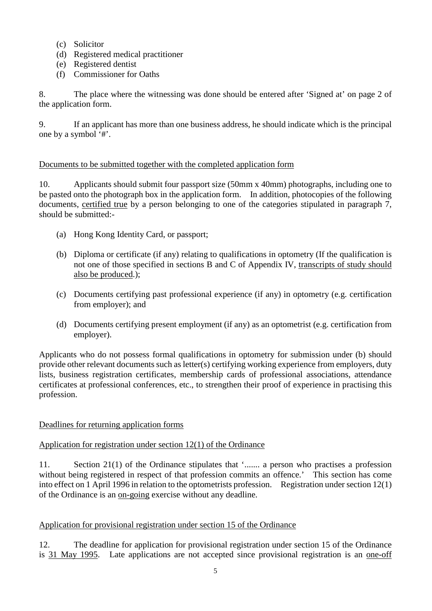- (c) Solicitor
- (d) Registered medical practitioner
- (e) Registered dentist
- (f) Commissioner for Oaths

8. The place where the witnessing was done should be entered after 'Signed at' on page 2 of the application form.

9. If an applicant has more than one business address, he should indicate which is the principal one by a symbol '#'.

## Documents to be submitted together with the completed application form

10. Applicants should submit four passport size (50mm x 40mm) photographs, including one to be pasted onto the photograph box in the application form. In addition, photocopies of the following documents, certified true by a person belonging to one of the categories stipulated in paragraph 7, should be submitted:-

- (a) Hong Kong Identity Card, or passport;
- (b) Diploma or certificate (if any) relating to qualifications in optometry (If the qualification is not one of those specified in sections B and C of Appendix IV, transcripts of study should also be produced.);
- (c) Documents certifying past professional experience (if any) in optometry (e.g. certification from employer); and
- (d) Documents certifying present employment (if any) as an optometrist (e.g. certification from employer).

Applicants who do not possess formal qualifications in optometry for submission under (b) should provide other relevant documents such as letter(s) certifying working experience from employers, duty lists, business registration certificates, membership cards of professional associations, attendance certificates at professional conferences, etc., to strengthen their proof of experience in practising this profession.

## Deadlines for returning application forms

## Application for registration under section 12(1) of the Ordinance

11. Section 21(1) of the Ordinance stipulates that '....... a person who practises a profession without being registered in respect of that profession commits an offence.' This section has come into effect on 1 April 1996 in relation to the optometrists profession. Registration under section 12(1) of the Ordinance is an on-going exercise without any deadline.

## Application for provisional registration under section 15 of the Ordinance

12. The deadline for application for provisional registration under section 15 of the Ordinance is 31 May 1995. Late applications are not accepted since provisional registration is an one-off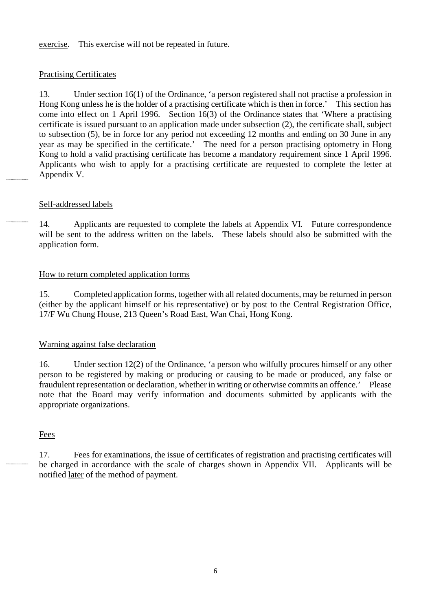exercise. This exercise will not be repeated in future.

#### Practising Certificates

13. Under section 16(1) of the Ordinance, 'a person registered shall not practise a profession in Hong Kong unless he is the holder of a practising certificate which is then in force.' This section has come into effect on 1 April 1996. Section 16(3) of the Ordinance states that 'Where a practising certificate is issued pursuant to an application made under subsection (2), the certificate shall, subject to subsection (5), be in force for any period not exceeding 12 months and ending on 30 June in any year as may be specified in the certificate.' The need for a person practising optometry in Hong Kong to hold a valid practising certificate has become a mandatory requirement since 1 April 1996. Applicants who wish to apply for a practising certificate are requested to complete the letter at Appendix V.

#### Self-addressed labels

14. Applicants are requested to complete the labels at Appendix VI. Future correspondence will be sent to the address written on the labels. These labels should also be submitted with the application form.

#### How to return completed application forms

15. Completed application forms, together with all related documents, may be returned in person (either by the applicant himself or his representative) or by post to the Central Registration Office, 17/F Wu Chung House, 213 Queen's Road East, Wan Chai, Hong Kong.

#### Warning against false declaration

16. Under section 12(2) of the Ordinance, 'a person who wilfully procures himself or any other person to be registered by making or producing or causing to be made or produced, any false or fraudulent representation or declaration, whether in writing or otherwise commits an offence.' Please note that the Board may verify information and documents submitted by applicants with the appropriate organizations.

#### **Fees**

17. Fees for examinations, the issue of certificates of registration and practising certificates will be charged in accordance with the scale of charges shown in Appendix VII. Applicants will be notified later of the method of payment.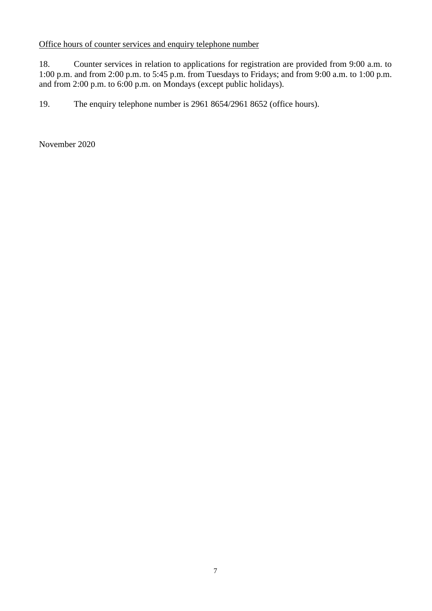## Office hours of counter services and enquiry telephone number

18. Counter services in relation to applications for registration are provided from 9:00 a.m. to 1:00 p.m. and from 2:00 p.m. to 5:45 p.m. from Tuesdays to Fridays; and from 9:00 a.m. to 1:00 p.m. and from 2:00 p.m. to 6:00 p.m. on Mondays (except public holidays).

19. The enquiry telephone number is 2961 8654/2961 8652 (office hours).

November 2020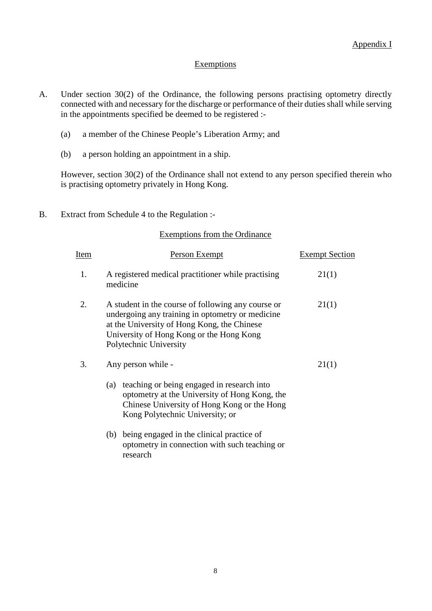#### Exemptions

- A. Under section 30(2) of the Ordinance, the following persons practising optometry directly connected with and necessary for the discharge or performance of their duties shall while serving in the appointments specified be deemed to be registered :-
	- (a) a member of the Chinese People's Liberation Army; and
	- (b) a person holding an appointment in a ship.

However, section 30(2) of the Ordinance shall not extend to any person specified therein who is practising optometry privately in Hong Kong.

B. Extract from Schedule 4 to the Regulation :-

#### Exemptions from the Ordinance

| Ite <u>m</u> | <b>Person Exempt</b>                                                                                                                                                                                                        | <b>Exempt Section</b> |
|--------------|-----------------------------------------------------------------------------------------------------------------------------------------------------------------------------------------------------------------------------|-----------------------|
| 1.           | A registered medical practitioner while practising<br>medicine                                                                                                                                                              | 21(1)                 |
| 2.           | A student in the course of following any course or<br>undergoing any training in optometry or medicine<br>at the University of Hong Kong, the Chinese<br>University of Hong Kong or the Hong Kong<br>Polytechnic University | 21(1)                 |
| 3.           | Any person while -                                                                                                                                                                                                          | 21(1)                 |
|              | teaching or being engaged in research into<br>(a)<br>optometry at the University of Hong Kong, the<br>Chinese University of Hong Kong or the Hong<br>Kong Polytechnic University; or                                        |                       |
|              | being engaged in the clinical practice of<br>(b)<br>optometry in connection with such teaching or<br>research                                                                                                               |                       |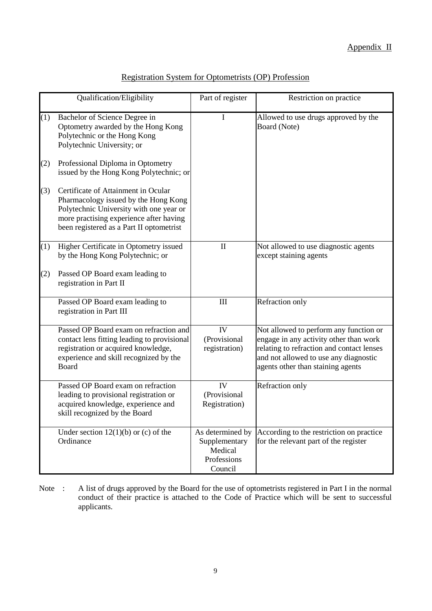|     | Qualification/Eligibility                                                                                                                                                                                     | Part of register                                                       | Restriction on practice                                                                                                                                                                                     |
|-----|---------------------------------------------------------------------------------------------------------------------------------------------------------------------------------------------------------------|------------------------------------------------------------------------|-------------------------------------------------------------------------------------------------------------------------------------------------------------------------------------------------------------|
| (1) | Bachelor of Science Degree in<br>Optometry awarded by the Hong Kong<br>Polytechnic or the Hong Kong<br>Polytechnic University; or                                                                             | I                                                                      | Allowed to use drugs approved by the<br>Board (Note)                                                                                                                                                        |
| (2) | Professional Diploma in Optometry<br>issued by the Hong Kong Polytechnic; or                                                                                                                                  |                                                                        |                                                                                                                                                                                                             |
| (3) | Certificate of Attainment in Ocular<br>Pharmacology issued by the Hong Kong<br>Polytechnic University with one year or<br>more practising experience after having<br>been registered as a Part II optometrist |                                                                        |                                                                                                                                                                                                             |
| (1) | Higher Certificate in Optometry issued<br>by the Hong Kong Polytechnic; or                                                                                                                                    | $\mathbf{I}$                                                           | Not allowed to use diagnostic agents<br>except staining agents                                                                                                                                              |
| (2) | Passed OP Board exam leading to<br>registration in Part II                                                                                                                                                    |                                                                        |                                                                                                                                                                                                             |
|     | Passed OP Board exam leading to<br>registration in Part III                                                                                                                                                   | $\mathop{\rm III}$                                                     | Refraction only                                                                                                                                                                                             |
|     | Passed OP Board exam on refraction and<br>contact lens fitting leading to provisional<br>registration or acquired knowledge,<br>experience and skill recognized by the<br>Board                               | IV<br>(Provisional<br>registration)                                    | Not allowed to perform any function or<br>engage in any activity other than work<br>relating to refraction and contact lenses<br>and not allowed to use any diagnostic<br>agents other than staining agents |
|     | Passed OP Board exam on refraction<br>leading to provisional registration or<br>acquired knowledge, experience and<br>skill recognized by the Board                                                           | IV<br>(Provisional<br>Registration)                                    | Refraction only                                                                                                                                                                                             |
|     | Under section $12(1)(b)$ or (c) of the<br>Ordinance                                                                                                                                                           | As determined by<br>Supplementary<br>Medical<br>Professions<br>Council | According to the restriction on practice<br>for the relevant part of the register                                                                                                                           |

## Registration System for Optometrists (OP) Profession

Note : A list of drugs approved by the Board for the use of optometrists registered in Part I in the normal conduct of their practice is attached to the Code of Practice which will be sent to successful applicants.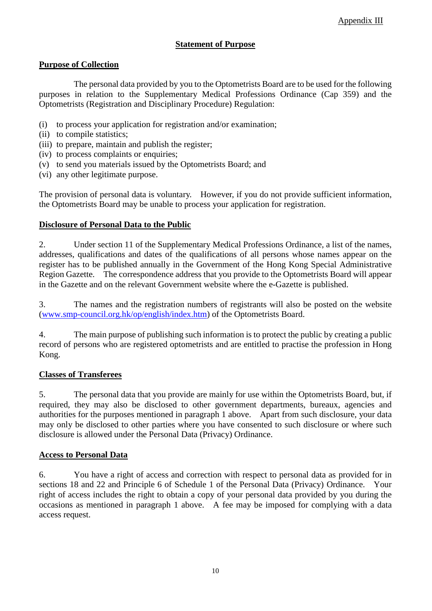#### **Statement of Purpose**

## **Purpose of Collection**

The personal data provided by you to the Optometrists Board are to be used for the following purposes in relation to the Supplementary Medical Professions Ordinance (Cap 359) and the Optometrists (Registration and Disciplinary Procedure) Regulation:

- (i) to process your application for registration and/or examination;
- (ii) to compile statistics;
- (iii) to prepare, maintain and publish the register;
- (iv) to process complaints or enquiries;
- (v) to send you materials issued by the Optometrists Board; and
- (vi) any other legitimate purpose.

The provision of personal data is voluntary. However, if you do not provide sufficient information, the Optometrists Board may be unable to process your application for registration.

#### **Disclosure of Personal Data to the Public**

2. Under section 11 of the Supplementary Medical Professions Ordinance, a list of the names, addresses, qualifications and dates of the qualifications of all persons whose names appear on the register has to be published annually in the Government of the Hong Kong Special Administrative Region Gazette. The correspondence address that you provide to the Optometrists Board will appear in the Gazette and on the relevant Government website where the e-Gazette is published.

3. The names and the registration numbers of registrants will also be posted on the website (www.smp-council.org.hk/op/english/index.htm) of the Optometrists Board.

4. The main purpose of publishing such information is to protect the public by creating a public record of persons who are registered optometrists and are entitled to practise the profession in Hong Kong.

#### **Classes of Transferees**

5. The personal data that you provide are mainly for use within the Optometrists Board, but, if required, they may also be disclosed to other government departments, bureaux, agencies and authorities for the purposes mentioned in paragraph 1 above. Apart from such disclosure, your data may only be disclosed to other parties where you have consented to such disclosure or where such disclosure is allowed under the Personal Data (Privacy) Ordinance.

#### **Access to Personal Data**

6. You have a right of access and correction with respect to personal data as provided for in sections 18 and 22 and Principle 6 of Schedule 1 of the Personal Data (Privacy) Ordinance. Your right of access includes the right to obtain a copy of your personal data provided by you during the occasions as mentioned in paragraph 1 above. A fee may be imposed for complying with a data access request.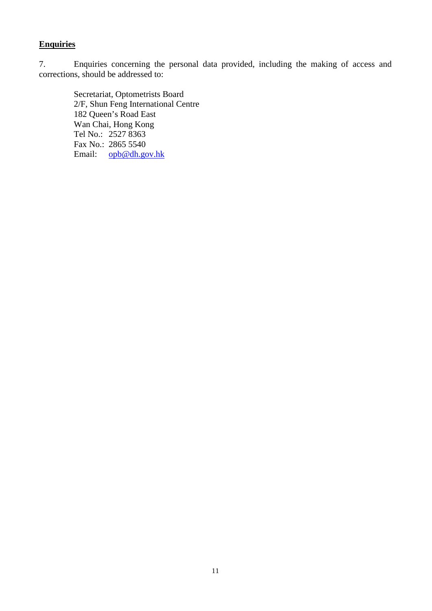## **Enquiries**

7. Enquiries concerning the personal data provided, including the making of access and corrections, should be addressed to:

Secretariat, Optometrists Board 2/F, Shun Feng International Centre 182 Queen's Road East Wan Chai, Hong Kong Tel No.: 2527 8363 Fax No.: 2865 5540 Email: [opb@dh.gov.hk](mailto:smpb@dh.gov.hk)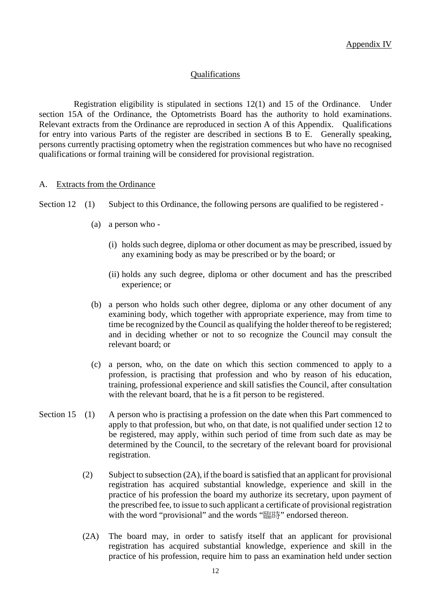#### **Qualifications**

Registration eligibility is stipulated in sections 12(1) and 15 of the Ordinance. Under section 15A of the Ordinance, the Optometrists Board has the authority to hold examinations. Relevant extracts from the Ordinance are reproduced in section A of this Appendix. Qualifications for entry into various Parts of the register are described in sections B to E. Generally speaking, persons currently practising optometry when the registration commences but who have no recognised qualifications or formal training will be considered for provisional registration.

#### A. Extracts from the Ordinance

Section 12 (1) Subject to this Ordinance, the following persons are qualified to be registered -

- (a) a person who
	- (i) holds such degree, diploma or other document as may be prescribed, issued by any examining body as may be prescribed or by the board; or
	- (ii) holds any such degree, diploma or other document and has the prescribed experience; or
- (b) a person who holds such other degree, diploma or any other document of any examining body, which together with appropriate experience, may from time to time be recognized by the Council as qualifying the holder thereof to be registered; and in deciding whether or not to so recognize the Council may consult the relevant board; or
- (c) a person, who, on the date on which this section commenced to apply to a profession, is practising that profession and who by reason of his education, training, professional experience and skill satisfies the Council, after consultation with the relevant board, that he is a fit person to be registered.
- Section 15 (1) A person who is practising a profession on the date when this Part commenced to apply to that profession, but who, on that date, is not qualified under section 12 to be registered, may apply, within such period of time from such date as may be determined by the Council, to the secretary of the relevant board for provisional registration.
	- (2) Subject to subsection (2A), if the board is satisfied that an applicant for provisional registration has acquired substantial knowledge, experience and skill in the practice of his profession the board my authorize its secretary, upon payment of the prescribed fee, to issue to such applicant a certificate of provisional registration with the word "provisional" and the words "臨時" endorsed thereon.
	- (2A) The board may, in order to satisfy itself that an applicant for provisional registration has acquired substantial knowledge, experience and skill in the practice of his profession, require him to pass an examination held under section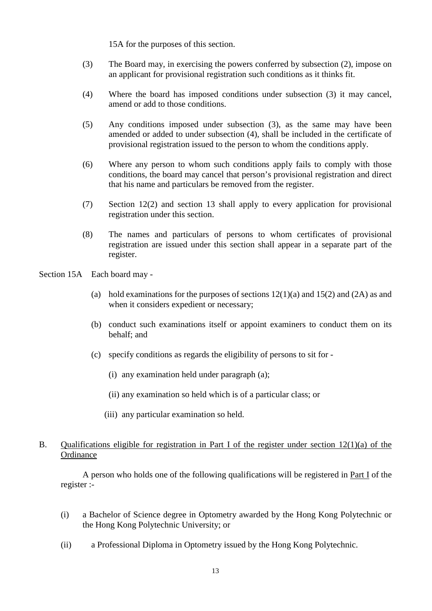15A for the purposes of this section.

- (3) The Board may, in exercising the powers conferred by subsection (2), impose on an applicant for provisional registration such conditions as it thinks fit.
- (4) Where the board has imposed conditions under subsection (3) it may cancel, amend or add to those conditions.
- (5) Any conditions imposed under subsection (3), as the same may have been amended or added to under subsection (4), shall be included in the certificate of provisional registration issued to the person to whom the conditions apply.
- (6) Where any person to whom such conditions apply fails to comply with those conditions, the board may cancel that person's provisional registration and direct that his name and particulars be removed from the register.
- (7) Section 12(2) and section 13 shall apply to every application for provisional registration under this section.
- (8) The names and particulars of persons to whom certificates of provisional registration are issued under this section shall appear in a separate part of the register.
- Section 15A Each board may
	- (a) hold examinations for the purposes of sections 12(1)(a) and 15(2) and (2A) as and when it considers expedient or necessary;
	- (b) conduct such examinations itself or appoint examiners to conduct them on its behalf; and
	- (c) specify conditions as regards the eligibility of persons to sit for
		- (i) any examination held under paragraph (a);
		- (ii) any examination so held which is of a particular class; or
		- (iii) any particular examination so held.

## B. Qualifications eligible for registration in Part I of the register under section 12(1)(a) of the **Ordinance**

 A person who holds one of the following qualifications will be registered in Part I of the register :-

- (i) a Bachelor of Science degree in Optometry awarded by the Hong Kong Polytechnic or the Hong Kong Polytechnic University; or
- (ii) a Professional Diploma in Optometry issued by the Hong Kong Polytechnic.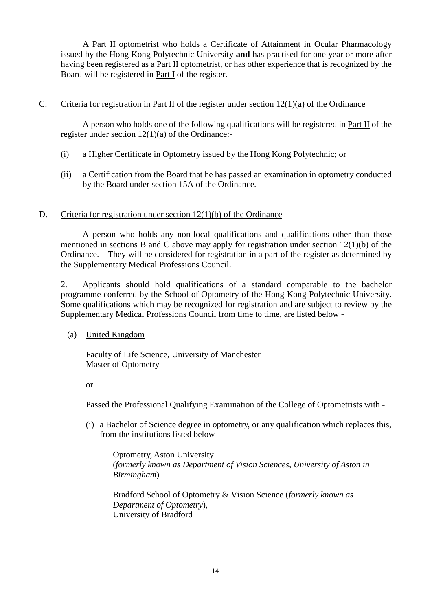A Part II optometrist who holds a Certificate of Attainment in Ocular Pharmacology issued by the Hong Kong Polytechnic University **and** has practised for one year or more after having been registered as a Part II optometrist, or has other experience that is recognized by the Board will be registered in Part I of the register.

#### C. Criteria for registration in Part II of the register under section  $12(1)(a)$  of the Ordinance

 A person who holds one of the following qualifications will be registered in Part II of the register under section 12(1)(a) of the Ordinance:-

- (i) a Higher Certificate in Optometry issued by the Hong Kong Polytechnic; or
- (ii) a Certification from the Board that he has passed an examination in optometry conducted by the Board under section 15A of the Ordinance.

#### D. Criteria for registration under section 12(1)(b) of the Ordinance

 A person who holds any non-local qualifications and qualifications other than those mentioned in sections B and C above may apply for registration under section 12(1)(b) of the Ordinance. They will be considered for registration in a part of the register as determined by the Supplementary Medical Professions Council.

2. Applicants should hold qualifications of a standard comparable to the bachelor programme conferred by the School of Optometry of the Hong Kong Polytechnic University. Some qualifications which may be recognized for registration and are subject to review by the Supplementary Medical Professions Council from time to time, are listed below -

#### (a) United Kingdom

Faculty of Life Science, University of Manchester Master of Optometry

or

Passed the Professional Qualifying Examination of the College of Optometrists with -

(i) a Bachelor of Science degree in optometry, or any qualification which replaces this, from the institutions listed below -

Optometry, Aston University (*formerly known as Department of Vision Sciences, University of Aston in Birmingham*)

Bradford School of Optometry & Vision Science (*formerly known as Department of Optometry*), University of Bradford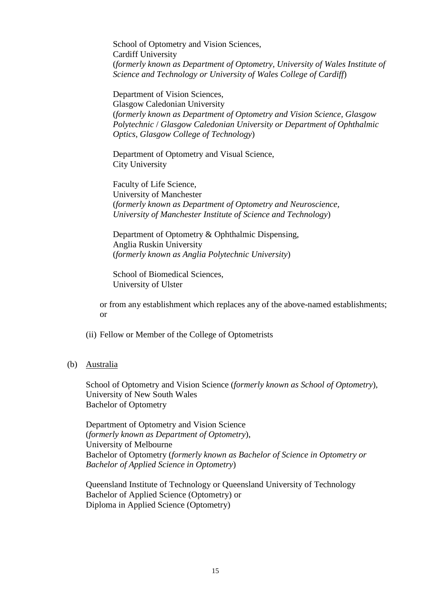School of Optometry and Vision Sciences, Cardiff University (*formerly known as Department of Optometry, University of Wales Institute of Science and Technology or University of Wales College of Cardiff*)

Department of Vision Sciences, Glasgow Caledonian University (*formerly known as Department of Optometry and Vision Science, Glasgow Polytechnic* / *Glasgow Caledonian University or Department of Ophthalmic Optics, Glasgow College of Technology*)

Department of Optometry and Visual Science, City University

Faculty of Life Science, University of Manchester (*formerly known as Department of Optometry and Neuroscience, University of Manchester Institute of Science and Technology*)

Department of Optometry & Ophthalmic Dispensing, Anglia Ruskin University (*formerly known as Anglia Polytechnic University*)

School of Biomedical Sciences, University of Ulster

or from any establishment which replaces any of the above-named establishments; or

- (ii) Fellow or Member of the College of Optometrists
- (b) Australia

School of Optometry and Vision Science (*formerly known as School of Optometry*), University of New South Wales Bachelor of Optometry

Department of Optometry and Vision Science (*formerly known as Department of Optometry*), University of Melbourne Bachelor of Optometry (*formerly known as Bachelor of Science in Optometry or Bachelor of Applied Science in Optometry*)

Queensland Institute of Technology or Queensland University of Technology Bachelor of Applied Science (Optometry) or Diploma in Applied Science (Optometry)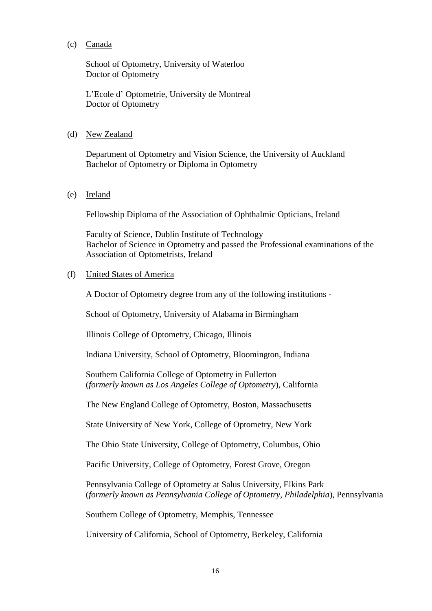(c) Canada

School of Optometry, University of Waterloo Doctor of Optometry

L'Ecole d' Optometrie, University de Montreal Doctor of Optometry

(d) New Zealand

Department of Optometry and Vision Science, the University of Auckland Bachelor of Optometry or Diploma in Optometry

(e) Ireland

Fellowship Diploma of the Association of Ophthalmic Opticians, Ireland

Faculty of Science, Dublin Institute of Technology Bachelor of Science in Optometry and passed the Professional examinations of the Association of Optometrists, Ireland

(f) United States of America

A Doctor of Optometry degree from any of the following institutions -

School of Optometry, University of Alabama in Birmingham

Illinois College of Optometry, Chicago, Illinois

Indiana University, School of Optometry, Bloomington, Indiana

Southern California College of Optometry in Fullerton (*formerly known as Los Angeles College of Optometry*), California

The New England College of Optometry, Boston, Massachusetts

State University of New York, College of Optometry, New York

The Ohio State University, College of Optometry, Columbus, Ohio

Pacific University, College of Optometry, Forest Grove, Oregon

Pennsylvania College of Optometry at Salus University, Elkins Park (*formerly known as Pennsylvania College of Optometry, Philadelphia*), Pennsylvania

Southern College of Optometry, Memphis, Tennessee

University of California, School of Optometry, Berkeley, California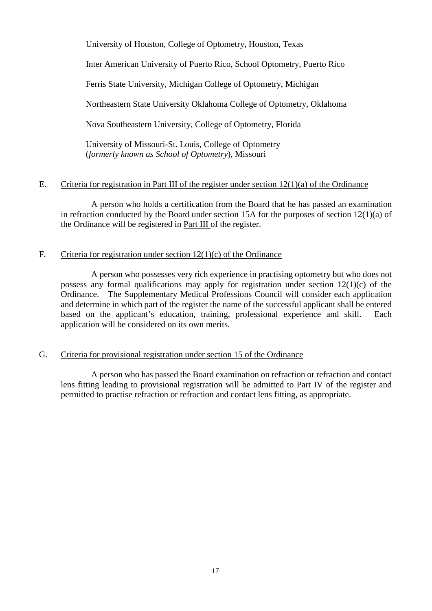University of Houston, College of Optometry, Houston, Texas

Inter American University of Puerto Rico, School Optometry, Puerto Rico

Ferris State University, Michigan College of Optometry, Michigan

Northeastern State University Oklahoma College of Optometry, Oklahoma

Nova Southeastern University, College of Optometry, Florida

University of Missouri-St. Louis, College of Optometry (*formerly known as School of Optometry*), Missouri

## E. Criteria for registration in Part III of the register under section  $12(1)(a)$  of the Ordinance

A person who holds a certification from the Board that he has passed an examination in refraction conducted by the Board under section 15A for the purposes of section 12(1)(a) of the Ordinance will be registered in Part III of the register.

#### F. Criteria for registration under section  $12(1)(c)$  of the Ordinance

A person who possesses very rich experience in practising optometry but who does not possess any formal qualifications may apply for registration under section 12(1)(c) of the Ordinance. The Supplementary Medical Professions Council will consider each application and determine in which part of the register the name of the successful applicant shall be entered based on the applicant's education, training, professional experience and skill. Each application will be considered on its own merits.

## G. Criteria for provisional registration under section 15 of the Ordinance

A person who has passed the Board examination on refraction or refraction and contact lens fitting leading to provisional registration will be admitted to Part IV of the register and permitted to practise refraction or refraction and contact lens fitting, as appropriate.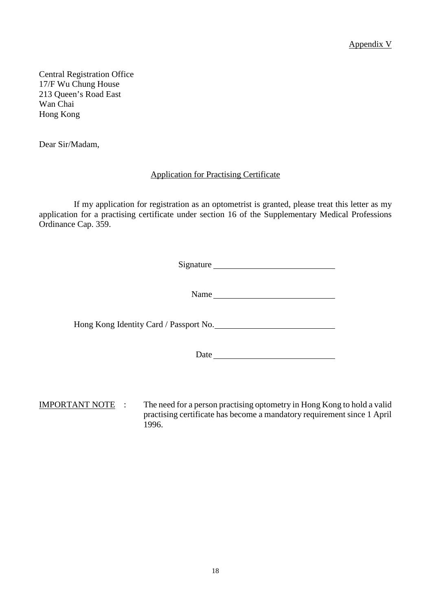Appendix V

Central Registration Office 17/F Wu Chung House 213 Queen's Road East Wan Chai Hong Kong

Dear Sir/Madam,

## Application for Practising Certificate

If my application for registration as an optometrist is granted, please treat this letter as my application for a practising certificate under section 16 of the Supplementary Medical Professions Ordinance Cap. 359.

Signature

Name

Hong Kong Identity Card / Passport No.

Date and the state of the state of the state of the state of the state of the state of the state of the state of the state of the state of the state of the state of the state of the state of the state of the state of the s

IMPORTANT NOTE : The need for a person practising optometry in Hong Kong to hold a valid practising certificate has become a mandatory requirement since 1 April 1996.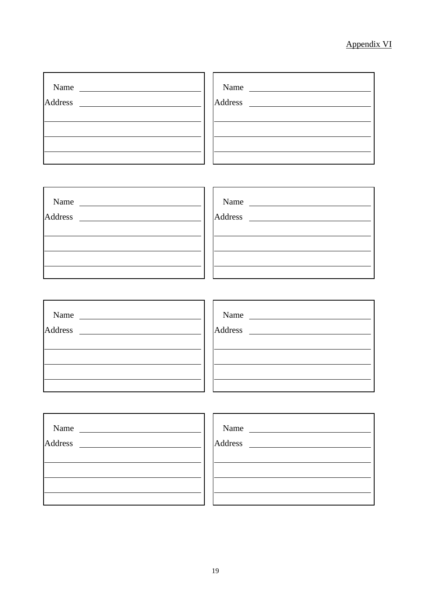# Appendix VI

| Name                                                                     | Name |
|--------------------------------------------------------------------------|------|
| Name $\qquad$                                                            | Name |
| Name $\frac{1}{\sqrt{1-\frac{1}{2}}\left\lceil \frac{1}{2}\right\rceil}$ | Name |
| Name                                                                     | Name |
| <b>Address</b>                                                           |      |